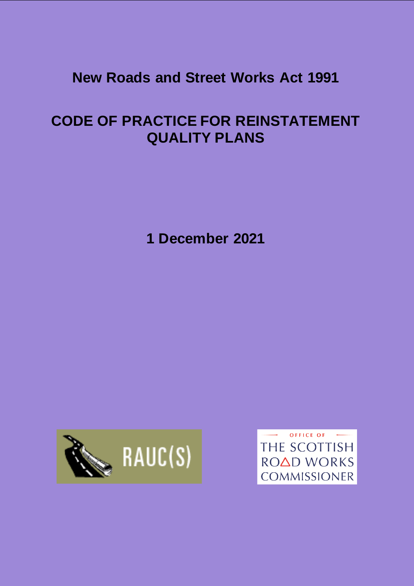# **New Roads and Street Works Act 1991**

# **CODE OF PRACTICE FOR REINSTATEMENT QUALITY PLANS**

**1 December 2021**



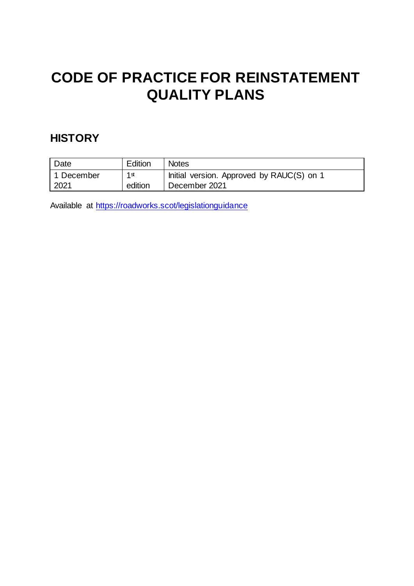# **CODE OF PRACTICE FOR REINSTATEMENT QUALITY PLANS**

## **HISTORY**

| Date       | Edition         | <b>Notes</b>                              |
|------------|-----------------|-------------------------------------------|
| 1 December | 1 <sub>st</sub> | Initial version. Approved by RAUC(S) on 1 |
| 2021       | edition         | December 2021                             |

Available at<https://roadworks.scot/legislationguidance>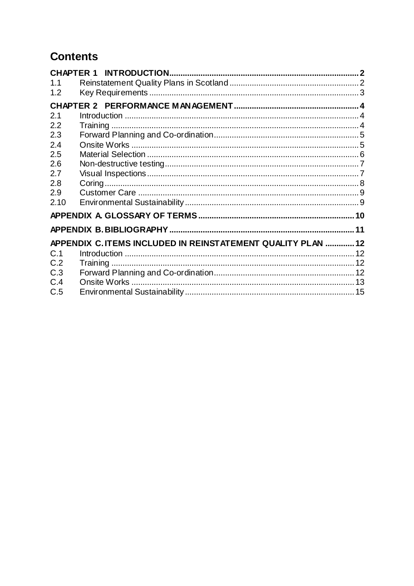## **Contents**

| 1.1  |                                                              |  |
|------|--------------------------------------------------------------|--|
| 1.2  |                                                              |  |
|      |                                                              |  |
| 2.1  |                                                              |  |
| 2.2  |                                                              |  |
| 2.3  |                                                              |  |
| 2.4  |                                                              |  |
| 2.5  |                                                              |  |
| 2.6  |                                                              |  |
| 2.7  |                                                              |  |
| 2.8  |                                                              |  |
| 2.9  |                                                              |  |
| 2.10 |                                                              |  |
|      |                                                              |  |
|      |                                                              |  |
|      | APPENDIX C. ITEMS INCLUDED IN REINSTATEMENT QUALITY PLAN  12 |  |
| C.1  |                                                              |  |
| C.2  |                                                              |  |
| C.3  |                                                              |  |
| C.4  |                                                              |  |
| C.5  |                                                              |  |
|      |                                                              |  |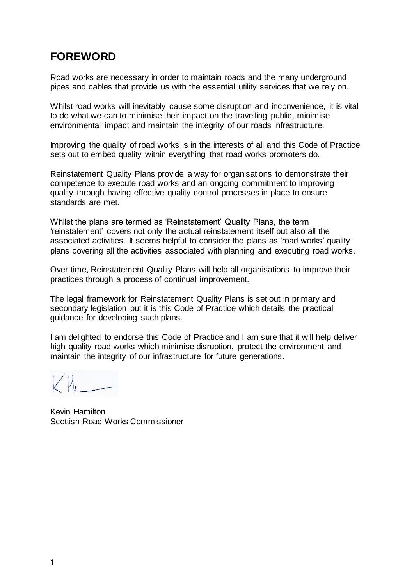### **FOREWORD**

Road works are necessary in order to maintain roads and the many underground pipes and cables that provide us with the essential utility services that we rely on.

Whilst road works will inevitably cause some disruption and inconvenience, it is vital to do what we can to minimise their impact on the travelling public, minimise environmental impact and maintain the integrity of our roads infrastructure.

Improving the quality of road works is in the interests of all and this Code of Practice sets out to embed quality within everything that road works promoters do.

Reinstatement Quality Plans provide a way for organisations to demonstrate their competence to execute road works and an ongoing commitment to improving quality through having effective quality control processes in place to ensure standards are met.

Whilst the plans are termed as 'Reinstatement' Quality Plans, the term 'reinstatement' covers not only the actual reinstatement itself but also all the associated activities. It seems helpful to consider the plans as 'road works' quality plans covering all the activities associated with planning and executing road works.

Over time, Reinstatement Quality Plans will help all organisations to improve their practices through a process of continual improvement.

The legal framework for Reinstatement Quality Plans is set out in primary and secondary legislation but it is this Code of Practice which details the practical guidance for developing such plans.

I am delighted to endorse this Code of Practice and I am sure that it will help deliver high quality road works which minimise disruption, protect the environment and maintain the integrity of our infrastructure for future generations.

Kevin Hamilton Scottish Road Works Commissioner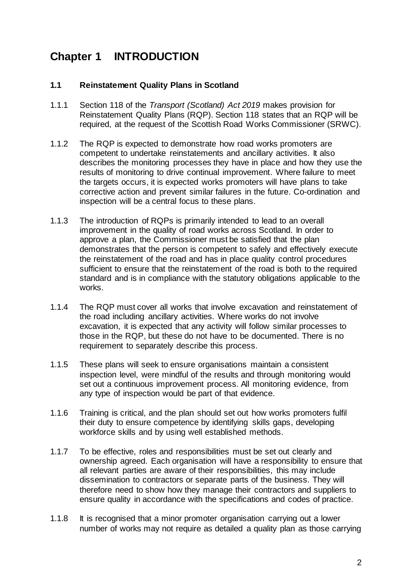## <span id="page-5-0"></span>**Chapter 1 INTRODUCTION**

#### <span id="page-5-1"></span>**1.1 Reinstatement Quality Plans in Scotland**

- 1.1.1 Section 118 of the *Transport (Scotland) Act 2019* makes provision for Reinstatement Quality Plans (RQP). Section 118 states that an RQP will be required, at the request of the Scottish Road Works Commissioner (SRWC).
- 1.1.2 The RQP is expected to demonstrate how road works promoters are competent to undertake reinstatements and ancillary activities. It also describes the monitoring processes they have in place and how they use the results of monitoring to drive continual improvement. Where failure to meet the targets occurs, it is expected works promoters will have plans to take corrective action and prevent similar failures in the future. Co-ordination and inspection will be a central focus to these plans.
- 1.1.3 The introduction of RQPs is primarily intended to lead to an overall improvement in the quality of road works across Scotland. In order to approve a plan, the Commissioner must be satisfied that the plan demonstrates that the person is competent to safely and effectively execute the reinstatement of the road and has in place quality control procedures sufficient to ensure that the reinstatement of the road is both to the required standard and is in compliance with the statutory obligations applicable to the works.
- 1.1.4 The RQP must cover all works that involve excavation and reinstatement of the road including ancillary activities. Where works do not involve excavation, it is expected that any activity will follow similar processes to those in the RQP, but these do not have to be documented. There is no requirement to separately describe this process.
- 1.1.5 These plans will seek to ensure organisations maintain a consistent inspection level, were mindful of the results and through monitoring would set out a continuous improvement process. All monitoring evidence, from any type of inspection would be part of that evidence.
- 1.1.6 Training is critical, and the plan should set out how works promoters fulfil their duty to ensure competence by identifying skills gaps, developing workforce skills and by using well established methods.
- 1.1.7 To be effective, roles and responsibilities must be set out clearly and ownership agreed. Each organisation will have a responsibility to ensure that all relevant parties are aware of their responsibilities, this may include dissemination to contractors or separate parts of the business. They will therefore need to show how they manage their contractors and suppliers to ensure quality in accordance with the specifications and codes of practice.
- 1.1.8 It is recognised that a minor promoter organisation carrying out a lower number of works may not require as detailed a quality plan as those carrying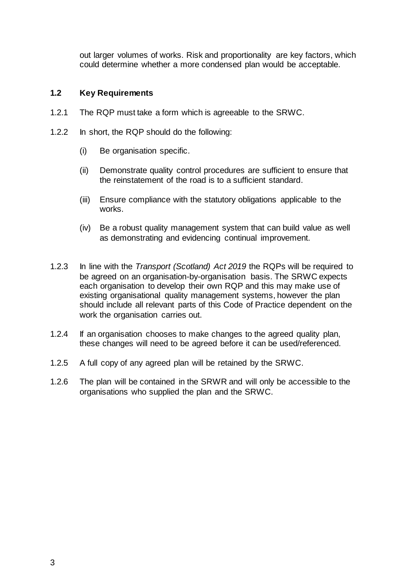out larger volumes of works. Risk and proportionality are key factors, which could determine whether a more condensed plan would be acceptable.

#### <span id="page-6-0"></span>**1.2 Key Requirements**

- 1.2.1 The RQP must take a form which is agreeable to the SRWC.
- 1.2.2 In short, the RQP should do the following:
	- (i) Be organisation specific.
	- (ii) Demonstrate quality control procedures are sufficient to ensure that the reinstatement of the road is to a sufficient standard.
	- (iii) Ensure compliance with the statutory obligations applicable to the works.
	- (iv) Be a robust quality management system that can build value as well as demonstrating and evidencing continual improvement.
- 1.2.3 In line with the *Transport (Scotland) Act 2019* the RQPs will be required to be agreed on an organisation-by-organisation basis. The SRWC expects each organisation to develop their own RQP and this may make use of existing organisational quality management systems, however the plan should include all relevant parts of this Code of Practice dependent on the work the organisation carries out.
- 1.2.4 If an organisation chooses to make changes to the agreed quality plan, these changes will need to be agreed before it can be used/referenced.
- 1.2.5 A full copy of any agreed plan will be retained by the SRWC.
- 1.2.6 The plan will be contained in the SRWR and will only be accessible to the organisations who supplied the plan and the SRWC.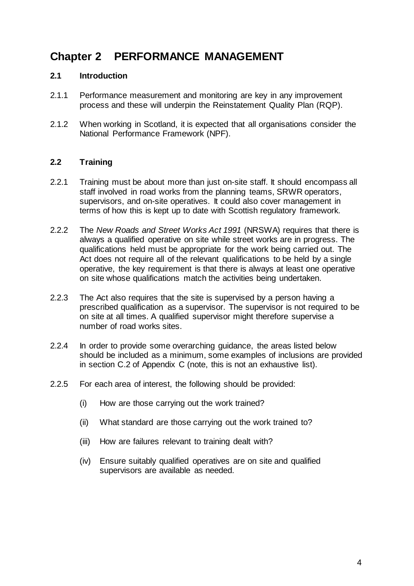## <span id="page-7-0"></span>**Chapter 2 PERFORMANCE MANAGEMENT**

#### <span id="page-7-1"></span>**2.1 Introduction**

- 2.1.1 Performance measurement and monitoring are key in any improvement process and these will underpin the Reinstatement Quality Plan (RQP).
- 2.1.2 When working in Scotland, it is expected that all organisations consider the National Performance Framework (NPF).

#### <span id="page-7-2"></span>**2.2 Training**

- 2.2.1 Training must be about more than just on-site staff. It should encompass all staff involved in road works from the planning teams, SRWR operators, supervisors, and on-site operatives. It could also cover management in terms of how this is kept up to date with Scottish regulatory framework.
- 2.2.2 The *New Roads and Street Works Act 1991* (NRSWA) requires that there is always a qualified operative on site while street works are in progress. The qualifications held must be appropriate for the work being carried out. The Act does not require all of the relevant qualifications to be held by a single operative, the key requirement is that there is always at least one operative on site whose qualifications match the activities being undertaken.
- 2.2.3 The Act also requires that the site is supervised by a person having a prescribed qualification as a supervisor. The supervisor is not required to be on site at all times. A qualified supervisor might therefore supervise a number of road works sites.
- 2.2.4 In order to provide some overarching guidance, the areas listed below should be included as a minimum, some examples of inclusions are provided in section [C.2](#page-15-2) of [Appendix C](#page-15-0) (note, this is not an exhaustive list).
- 2.2.5 For each area of interest, the following should be provided:
	- (i) How are those carrying out the work trained?
	- (ii) What standard are those carrying out the work trained to?
	- (iii) How are failures relevant to training dealt with?
	- (iv) Ensure suitably qualified operatives are on site and qualified supervisors are available as needed.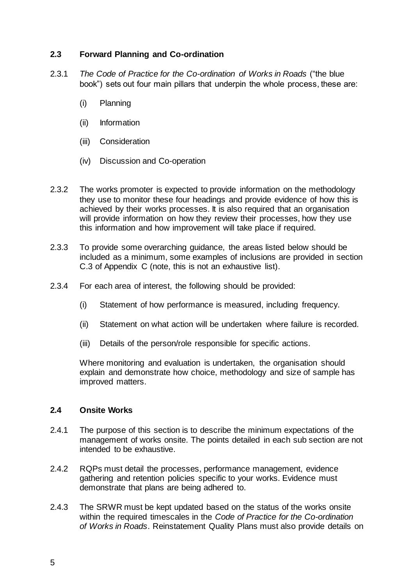#### <span id="page-8-0"></span>**2.3 Forward Planning and Co-ordination**

- 2.3.1 *The Code of Practice for the Co-ordination of Works in Roads* ("the blue book") sets out four main pillars that underpin the whole process, these are:
	- (i) Planning
	- (ii) Information
	- (iii) Consideration
	- (iv) Discussion and Co-operation
- 2.3.2 The works promoter is expected to provide information on the methodology they use to monitor these four headings and provide evidence of how this is achieved by their works processes. It is also required that an organisation will provide information on how they review their processes, how they use this information and how improvement will take place if required.
- 2.3.3 To provide some overarching guidance, the areas listed below should be included as a minimum, some examples of inclusions are provided in section [C.3](#page-15-3) of [Appendix C](#page-15-0) (note, this is not an exhaustive list).
- 2.3.4 For each area of interest, the following should be provided:
	- (i) Statement of how performance is measured, including frequency.
	- (ii) Statement on what action will be undertaken where failure is recorded.
	- (iii) Details of the person/role responsible for specific actions.

Where monitoring and evaluation is undertaken, the organisation should explain and demonstrate how choice, methodology and size of sample has improved matters.

#### <span id="page-8-1"></span>**2.4 Onsite Works**

- 2.4.1 The purpose of this section is to describe the minimum expectations of the management of works onsite. The points detailed in each sub section are not intended to be exhaustive.
- 2.4.2 RQPs must detail the processes, performance management, evidence gathering and retention policies specific to your works. Evidence must demonstrate that plans are being adhered to.
- 2.4.3 The SRWR must be kept updated based on the status of the works onsite within the required timescales in the *Code of Practice for the Co-ordination of Works in Roads*. Reinstatement Quality Plans must also provide details on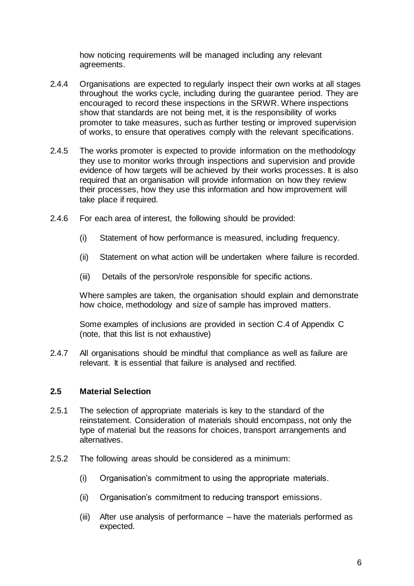how noticing requirements will be managed including any relevant agreements.

- 2.4.4 Organisations are expected to regularly inspect their own works at all stages throughout the works cycle, including during the guarantee period. They are encouraged to record these inspections in the SRWR. Where inspections show that standards are not being met, it is the responsibility of works promoter to take measures, such as further testing or improved supervision of works, to ensure that operatives comply with the relevant specifications.
- 2.4.5 The works promoter is expected to provide information on the methodology they use to monitor works through inspections and supervision and provide evidence of how targets will be achieved by their works processes. It is also required that an organisation will provide information on how they review their processes, how they use this information and how improvement will take place if required.
- 2.4.6 For each area of interest, the following should be provided:
	- (i) Statement of how performance is measured, including frequency.
	- (ii) Statement on what action will be undertaken where failure is recorded.
	- (iii) Details of the person/role responsible for specific actions.

Where samples are taken, the organisation should explain and demonstrate how choice, methodology and size of sample has improved matters.

Some examples of inclusions are provided in section [C.4](#page-16-0) of [Appendix C](#page-15-0) (note, that this list is not exhaustive)

2.4.7 All organisations should be mindful that compliance as well as failure are relevant. It is essential that failure is analysed and rectified.

#### <span id="page-9-0"></span>**2.5 Material Selection**

- 2.5.1 The selection of appropriate materials is key to the standard of the reinstatement. Consideration of materials should encompass, not only the type of material but the reasons for choices, transport arrangements and alternatives.
- 2.5.2 The following areas should be considered as a minimum:
	- (i) Organisation's commitment to using the appropriate materials.
	- (ii) Organisation's commitment to reducing transport emissions.
	- (iii) After use analysis of performance have the materials performed as expected.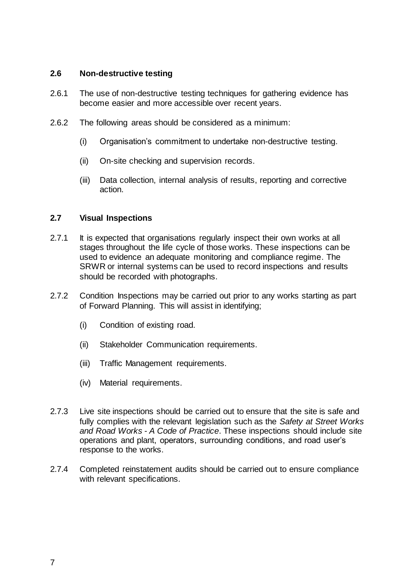#### <span id="page-10-0"></span>**2.6 Non-destructive testing**

- 2.6.1 The use of non-destructive testing techniques for gathering evidence has become easier and more accessible over recent years.
- 2.6.2 The following areas should be considered as a minimum:
	- (i) Organisation's commitment to undertake non-destructive testing.
	- (ii) On-site checking and supervision records.
	- (iii) Data collection, internal analysis of results, reporting and corrective action.

#### <span id="page-10-1"></span>**2.7 Visual Inspections**

- 2.7.1 It is expected that organisations regularly inspect their own works at all stages throughout the life cycle of those works. These inspections can be used to evidence an adequate monitoring and compliance regime. The SRWR or internal systems can be used to record inspections and results should be recorded with photographs.
- 2.7.2 Condition Inspections may be carried out prior to any works starting as part of Forward Planning. This will assist in identifying;
	- (i) Condition of existing road.
	- (ii) Stakeholder Communication requirements.
	- (iii) Traffic Management requirements.
	- (iv) Material requirements.
- 2.7.3 Live site inspections should be carried out to ensure that the site is safe and fully complies with the relevant legislation such as the *Safety at Street Works and Road Works - A Code of Practice*. These inspections should include site operations and plant, operators, surrounding conditions, and road user's response to the works.
- 2.7.4 Completed reinstatement audits should be carried out to ensure compliance with relevant specifications.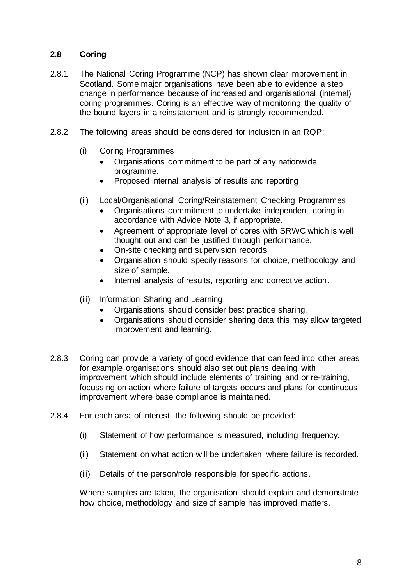#### <span id="page-11-0"></span>**2.8 Coring**

- 2.8.1 The National Coring Programme (NCP) has shown clear improvement in Scotland. Some major organisations have been able to evidence a step change in performance because of increased and organisational (internal) coring programmes. Coring is an effective way of monitoring the quality of the bound layers in a reinstatement and is strongly recommended.
- 2.8.2 The following areas should be considered for inclusion in an RQP:
	- (i) Coring Programmes
		- Organisations commitment to be part of any nationwide programme.
		- Proposed internal analysis of results and reporting
	- (ii) Local/Organisational Coring/Reinstatement Checking Programmes
		- Organisations commitment to undertake independent coring in accordance with Advice Note 3, if appropriate.
		- Agreement of appropriate level of cores with SRWC which is well thought out and can be justified through performance.
		- On-site checking and supervision records
		- Organisation should specify reasons for choice, methodology and size of sample.
		- Internal analysis of results, reporting and corrective action.
	- (iii) Information Sharing and Learning
		- Organisations should consider best practice sharing.
		- Organisations should consider sharing data this may allow targeted improvement and learning.
- 2.8.3 Coring can provide a variety of good evidence that can feed into other areas, for example organisations should also set out plans dealing with improvement which should include elements of training and or re-training, focussing on action where failure of targets occurs and plans for continuous improvement where base compliance is maintained.
- 2.8.4 For each area of interest, the following should be provided:
	- (i) Statement of how performance is measured, including frequency.
	- (ii) Statement on what action will be undertaken where failure is recorded.
	- (iii) Details of the person/role responsible for specific actions.

Where samples are taken, the organisation should explain and demonstrate how choice, methodology and size of sample has improved matters.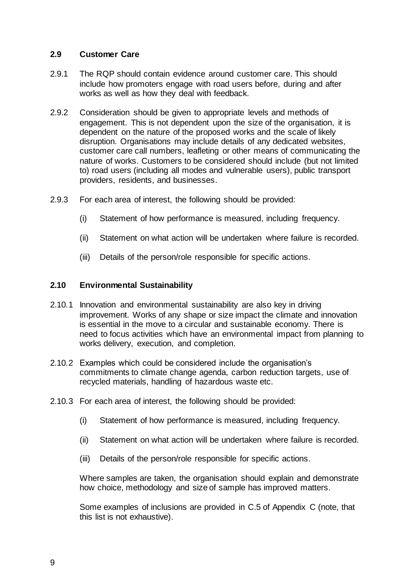#### <span id="page-12-0"></span>**2.9 Customer Care**

- 2.9.1 The RQP should contain evidence around customer care. This should include how promoters engage with road users before, during and after works as well as how they deal with feedback.
- 2.9.2 Consideration should be given to appropriate levels and methods of engagement. This is not dependent upon the size of the organisation, it is dependent on the nature of the proposed works and the scale of likely disruption. Organisations may include details of any dedicated websites, customer care call numbers, leafleting or other means of communicating the nature of works. Customers to be considered should include (but not limited to) road users (including all modes and vulnerable users), public transport providers, residents, and businesses.
- 2.9.3 For each area of interest, the following should be provided:
	- (i) Statement of how performance is measured, including frequency.
	- (ii) Statement on what action will be undertaken where failure is recorded.
	- (iii) Details of the person/role responsible for specific actions.

#### <span id="page-12-1"></span>**2.10 Environmental Sustainability**

- 2.10.1 Innovation and environmental sustainability are also key in driving improvement. Works of any shape or size impact the climate and innovation is essential in the move to a circular and sustainable economy. There is need to focus activities which have an environmental impact from planning to works delivery, execution, and completion.
- 2.10.2 Examples which could be considered include the organisation's commitments to climate change agenda, carbon reduction targets, use of recycled materials, handling of hazardous waste etc.
- 2.10.3 For each area of interest, the following should be provided:
	- (i) Statement of how performance is measured, including frequency.
	- (ii) Statement on what action will be undertaken where failure is recorded.
	- (iii) Details of the person/role responsible for specific actions.

Where samples are taken, the organisation should explain and demonstrate how choice, methodology and size of sample has improved matters.

Some examples of inclusions are provided in [C.5](#page-18-0) of [Appendix C](#page-15-0) (note, that this list is not exhaustive).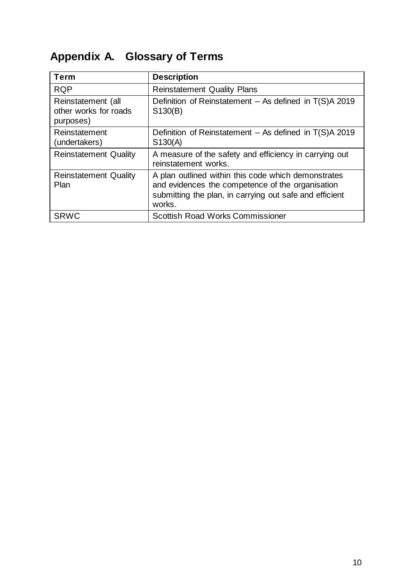# <span id="page-13-0"></span>**Appendix A. Glossary of Terms**

| <b>Term</b>                                              | <b>Description</b>                                                                                                                                                           |
|----------------------------------------------------------|------------------------------------------------------------------------------------------------------------------------------------------------------------------------------|
| <b>RQP</b>                                               | <b>Reinstatement Quality Plans</b>                                                                                                                                           |
| Reinstatement (all<br>other works for roads<br>purposes) | Definition of Reinstatement $-$ As defined in T(S)A 2019<br>S130(B)                                                                                                          |
| Reinstatement<br>(undertakers)                           | Definition of Reinstatement $-$ As defined in T(S)A 2019<br>S130(A)                                                                                                          |
| <b>Reinstatement Quality</b>                             | A measure of the safety and efficiency in carrying out<br>reinstatement works.                                                                                               |
| <b>Reinstatement Quality</b><br>Plan                     | A plan outlined within this code which demonstrates<br>and evidences the competence of the organisation<br>submitting the plan, in carrying out safe and efficient<br>works. |
| <b>SRWC</b>                                              | <b>Scottish Road Works Commissioner</b>                                                                                                                                      |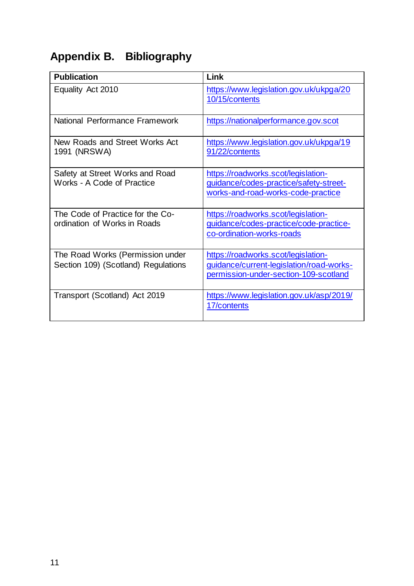# <span id="page-14-0"></span>**Appendix B. Bibliography**

| <b>Publication</b>                                                      | Link                                                                                                                     |
|-------------------------------------------------------------------------|--------------------------------------------------------------------------------------------------------------------------|
| Equality Act 2010                                                       | https://www.legislation.gov.uk/ukpga/20<br>10/15/contents                                                                |
| National Performance Framework                                          | https://nationalperformance.gov.scot                                                                                     |
| New Roads and Street Works Act<br>1991 (NRSWA)                          | https://www.legislation.gov.uk/ukpga/19<br>91/22/contents                                                                |
| Safety at Street Works and Road<br>Works - A Code of Practice           | https://roadworks.scot/legislation-<br>guidance/codes-practice/safety-street-<br>works-and-road-works-code-practice      |
| The Code of Practice for the Co-<br>ordination of Works in Roads        | https://roadworks.scot/legislation-<br>guidance/codes-practice/code-practice-<br>co-ordination-works-roads               |
| The Road Works (Permission under<br>Section 109) (Scotland) Regulations | https://roadworks.scot/legislation-<br>guidance/current-legislation/road-works-<br>permission-under-section-109-scotland |
| Transport (Scotland) Act 2019                                           | https://www.legislation.gov.uk/asp/2019/<br>17/contents                                                                  |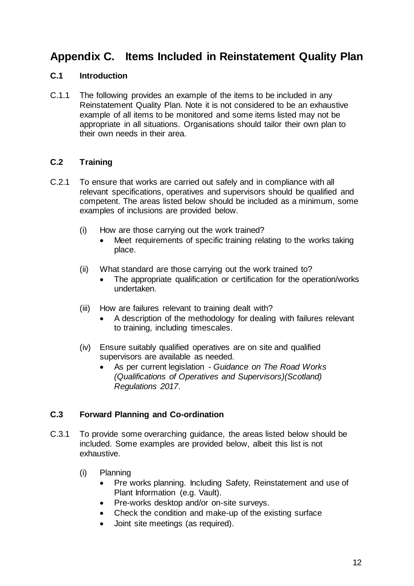## <span id="page-15-0"></span>**Appendix C. Items Included in Reinstatement Quality Plan**

#### <span id="page-15-1"></span>**C.1 Introduction**

C.1.1 The following provides an example of the items to be included in any Reinstatement Quality Plan. Note it is not considered to be an exhaustive example of all items to be monitored and some items listed may not be appropriate in all situations. Organisations should tailor their own plan to their own needs in their area.

#### <span id="page-15-2"></span>**C.2 Training**

- C.2.1 To ensure that works are carried out safely and in compliance with all relevant specifications, operatives and supervisors should be qualified and competent. The areas listed below should be included as a minimum, some examples of inclusions are provided below.
	- (i) How are those carrying out the work trained?
		- Meet requirements of specific training relating to the works taking place.
	- (ii) What standard are those carrying out the work trained to?
		- The appropriate qualification or certification for the operation/works undertaken.
	- (iii) How are failures relevant to training dealt with?
		- A description of the methodology for dealing with failures relevant to training, including timescales.
	- (iv) Ensure suitably qualified operatives are on site and qualified supervisors are available as needed.
		- As per current legislation *Guidance on The Road Works (Qualifications of Operatives and Supervisors)(Scotland) Regulations 2017*.

#### <span id="page-15-3"></span>**C.3 Forward Planning and Co-ordination**

- C.3.1 To provide some overarching guidance, the areas listed below should be included. Some examples are provided below, albeit this list is not exhaustive.
	- (i) Planning
		- Pre works planning. Including Safety, Reinstatement and use of Plant Information (e.g. Vault).
		- Pre-works desktop and/or on-site surveys.
		- Check the condition and make-up of the existing surface
		- Joint site meetings (as required).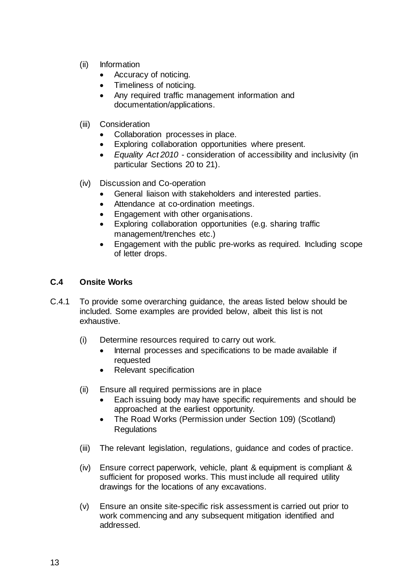- (ii) Information
	- Accuracy of noticing.
	- Timeliness of noticing.
	- Any required traffic management information and documentation/applications.
- (iii) Consideration
	- Collaboration processes in place.
	- Exploring collaboration opportunities where present.
	- *Equality Act 2010* consideration of accessibility and inclusivity (in particular Sections 20 to 21).
- (iv) Discussion and Co-operation
	- General liaison with stakeholders and interested parties.
	- Attendance at co-ordination meetings.
	- Engagement with other organisations.
	- Exploring collaboration opportunities (e.g. sharing traffic management/trenches etc.)
	- Engagement with the public pre-works as required. Including scope of letter drops.

#### <span id="page-16-0"></span>**C.4 Onsite Works**

- C.4.1 To provide some overarching guidance, the areas listed below should be included. Some examples are provided below, albeit this list is not exhaustive.
	- (i) Determine resources required to carry out work.
		- Internal processes and specifications to be made available if requested
		- Relevant specification
	- (ii) Ensure all required permissions are in place
		- Each issuing body may have specific requirements and should be approached at the earliest opportunity.
		- The Road Works (Permission under Section 109) (Scotland) Regulations
	- (iii) The relevant legislation, regulations, guidance and codes of practice.
	- (iv) Ensure correct paperwork, vehicle, plant & equipment is compliant & sufficient for proposed works. This must include all required utility drawings for the locations of any excavations.
	- (v) Ensure an onsite site-specific risk assessment is carried out prior to work commencing and any subsequent mitigation identified and addressed.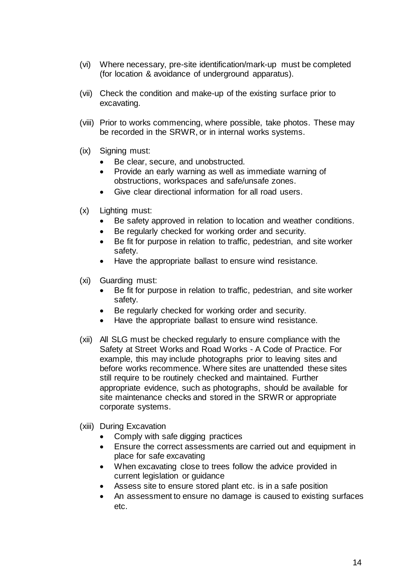- (vi) Where necessary, pre-site identification/mark-up must be completed (for location & avoidance of underground apparatus).
- (vii) Check the condition and make-up of the existing surface prior to excavating.
- (viii) Prior to works commencing, where possible, take photos. These may be recorded in the SRWR, or in internal works systems.
- (ix) Signing must:
	- Be clear, secure, and unobstructed.
	- Provide an early warning as well as immediate warning of obstructions, workspaces and safe/unsafe zones.
	- Give clear directional information for all road users.
- (x) Lighting must:
	- Be safety approved in relation to location and weather conditions.
	- Be regularly checked for working order and security.
	- Be fit for purpose in relation to traffic, pedestrian, and site worker safety.
	- Have the appropriate ballast to ensure wind resistance.
- (xi) Guarding must:
	- Be fit for purpose in relation to traffic, pedestrian, and site worker safety.
	- Be regularly checked for working order and security.
	- Have the appropriate ballast to ensure wind resistance.
- (xii) All SLG must be checked regularly to ensure compliance with the Safety at Street Works and Road Works - A Code of Practice. For example, this may include photographs prior to leaving sites and before works recommence. Where sites are unattended these sites still require to be routinely checked and maintained. Further appropriate evidence, such as photographs, should be available for site maintenance checks and stored in the SRWR or appropriate corporate systems.
- (xiii) During Excavation
	- Comply with safe digging practices
	- Ensure the correct assessments are carried out and equipment in place for safe excavating
	- When excavating close to trees follow the advice provided in current legislation or guidance
	- Assess site to ensure stored plant etc. is in a safe position
	- An assessment to ensure no damage is caused to existing surfaces etc.